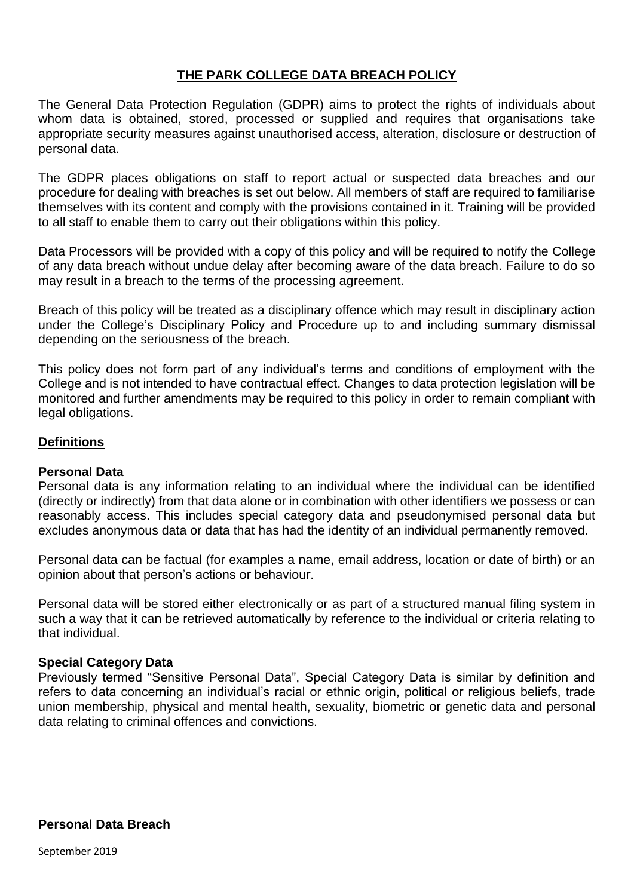### **THE PARK COLLEGE DATA BREACH POLICY**

The General Data Protection Regulation (GDPR) aims to protect the rights of individuals about whom data is obtained, stored, processed or supplied and requires that organisations take appropriate security measures against unauthorised access, alteration, disclosure or destruction of personal data.

The GDPR places obligations on staff to report actual or suspected data breaches and our procedure for dealing with breaches is set out below. All members of staff are required to familiarise themselves with its content and comply with the provisions contained in it. Training will be provided to all staff to enable them to carry out their obligations within this policy.

Data Processors will be provided with a copy of this policy and will be required to notify the College of any data breach without undue delay after becoming aware of the data breach. Failure to do so may result in a breach to the terms of the processing agreement.

Breach of this policy will be treated as a disciplinary offence which may result in disciplinary action under the College's Disciplinary Policy and Procedure up to and including summary dismissal depending on the seriousness of the breach.

This policy does not form part of any individual's terms and conditions of employment with the College and is not intended to have contractual effect. Changes to data protection legislation will be monitored and further amendments may be required to this policy in order to remain compliant with legal obligations.

#### **Definitions**

#### **Personal Data**

Personal data is any information relating to an individual where the individual can be identified (directly or indirectly) from that data alone or in combination with other identifiers we possess or can reasonably access. This includes special category data and pseudonymised personal data but excludes anonymous data or data that has had the identity of an individual permanently removed.

Personal data can be factual (for examples a name, email address, location or date of birth) or an opinion about that person's actions or behaviour.

Personal data will be stored either electronically or as part of a structured manual filing system in such a way that it can be retrieved automatically by reference to the individual or criteria relating to that individual.

#### **Special Category Data**

Previously termed "Sensitive Personal Data", Special Category Data is similar by definition and refers to data concerning an individual's racial or ethnic origin, political or religious beliefs, trade union membership, physical and mental health, sexuality, biometric or genetic data and personal data relating to criminal offences and convictions.

**Personal Data Breach**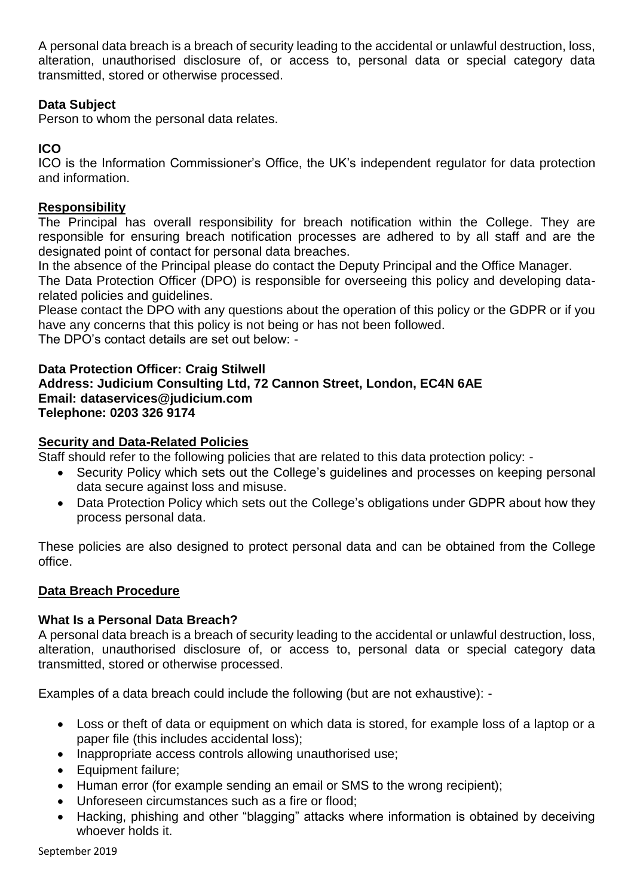A personal data breach is a breach of security leading to the accidental or unlawful destruction, loss, alteration, unauthorised disclosure of, or access to, personal data or special category data transmitted, stored or otherwise processed.

# **Data Subject**

Person to whom the personal data relates.

# **ICO**

ICO is the Information Commissioner's Office, the UK's independent regulator for data protection and information.

### **Responsibility**

The Principal has overall responsibility for breach notification within the College. They are responsible for ensuring breach notification processes are adhered to by all staff and are the designated point of contact for personal data breaches.

In the absence of the Principal please do contact the Deputy Principal and the Office Manager.

The Data Protection Officer (DPO) is responsible for overseeing this policy and developing datarelated policies and guidelines.

Please contact the DPO with any questions about the operation of this policy or the GDPR or if you have any concerns that this policy is not being or has not been followed.

The DPO's contact details are set out below: -

### **Data Protection Officer: Craig Stilwell**

#### **Address: Judicium Consulting Ltd, 72 Cannon Street, London, EC4N 6AE Email: [dataservices@judicium.com](mailto:dataservices@judicium.com) Telephone: 0203 326 9174**

### **Security and Data-Related Policies**

Staff should refer to the following policies that are related to this data protection policy: -

- Security Policy which sets out the College's guidelines and processes on keeping personal data secure against loss and misuse.
- Data Protection Policy which sets out the College's obligations under GDPR about how they process personal data.

These policies are also designed to protect personal data and can be obtained from the College office.

# **Data Breach Procedure**

# **What Is a Personal Data Breach?**

A personal data breach is a breach of security leading to the accidental or unlawful destruction, loss, alteration, unauthorised disclosure of, or access to, personal data or special category data transmitted, stored or otherwise processed.

Examples of a data breach could include the following (but are not exhaustive): -

- Loss or theft of data or equipment on which data is stored, for example loss of a laptop or a paper file (this includes accidental loss);
- Inappropriate access controls allowing unauthorised use;
- Equipment failure:
- Human error (for example sending an email or SMS to the wrong recipient);
- Unforeseen circumstances such as a fire or flood;
- Hacking, phishing and other "blagging" attacks where information is obtained by deceiving whoever holds it.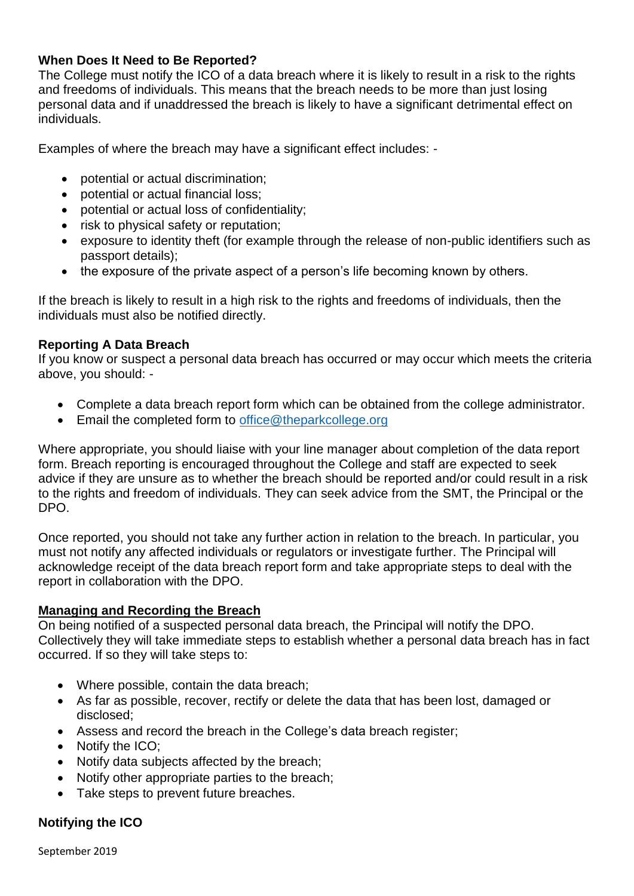### **When Does It Need to Be Reported?**

The College must notify the ICO of a data breach where it is likely to result in a risk to the rights and freedoms of individuals. This means that the breach needs to be more than just losing personal data and if unaddressed the breach is likely to have a significant detrimental effect on individuals.

Examples of where the breach may have a significant effect includes: -

- potential or actual discrimination;
- potential or actual financial loss:
- potential or actual loss of confidentiality;
- risk to physical safety or reputation;
- exposure to identity theft (for example through the release of non-public identifiers such as passport details);
- the exposure of the private aspect of a person's life becoming known by others.

If the breach is likely to result in a high risk to the rights and freedoms of individuals, then the individuals must also be notified directly.

### **Reporting A Data Breach**

If you know or suspect a personal data breach has occurred or may occur which meets the criteria above, you should: -

- Complete a data breach report form which can be obtained from the college administrator.
- **Email the completed form to [office@theparkcollege.org](mailto:office@theparkcollege.org)**

Where appropriate, you should liaise with your line manager about completion of the data report form. Breach reporting is encouraged throughout the College and staff are expected to seek advice if they are unsure as to whether the breach should be reported and/or could result in a risk to the rights and freedom of individuals. They can seek advice from the SMT, the Principal or the DPO.

Once reported, you should not take any further action in relation to the breach. In particular, you must not notify any affected individuals or regulators or investigate further. The Principal will acknowledge receipt of the data breach report form and take appropriate steps to deal with the report in collaboration with the DPO.

#### **Managing and Recording the Breach**

On being notified of a suspected personal data breach, the Principal will notify the DPO. Collectively they will take immediate steps to establish whether a personal data breach has in fact occurred. If so they will take steps to:

- Where possible, contain the data breach;
- As far as possible, recover, rectify or delete the data that has been lost, damaged or disclosed;
- Assess and record the breach in the College's data breach register;
- Notify the ICO;
- Notify data subjects affected by the breach;
- Notify other appropriate parties to the breach;
- Take steps to prevent future breaches.

# **Notifying the ICO**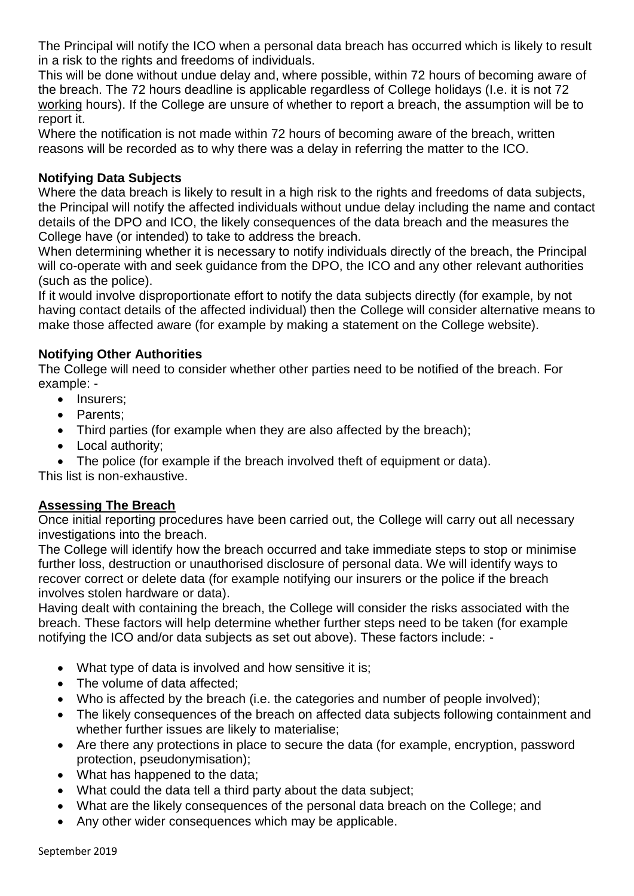The Principal will notify the ICO when a personal data breach has occurred which is likely to result in a risk to the rights and freedoms of individuals.

This will be done without undue delay and, where possible, within 72 hours of becoming aware of the breach. The 72 hours deadline is applicable regardless of College holidays (I.e. it is not 72 working hours). If the College are unsure of whether to report a breach, the assumption will be to report it.

Where the notification is not made within 72 hours of becoming aware of the breach, written reasons will be recorded as to why there was a delay in referring the matter to the ICO.

# **Notifying Data Subjects**

Where the data breach is likely to result in a high risk to the rights and freedoms of data subjects, the Principal will notify the affected individuals without undue delay including the name and contact details of the DPO and ICO, the likely consequences of the data breach and the measures the College have (or intended) to take to address the breach.

When determining whether it is necessary to notify individuals directly of the breach, the Principal will co-operate with and seek guidance from the DPO, the ICO and any other relevant authorities (such as the police).

If it would involve disproportionate effort to notify the data subjects directly (for example, by not having contact details of the affected individual) then the College will consider alternative means to make those affected aware (for example by making a statement on the College website).

# **Notifying Other Authorities**

The College will need to consider whether other parties need to be notified of the breach. For example: -

- Insurers;
- Parents:
- Third parties (for example when they are also affected by the breach);
- Local authority:
- The police (for example if the breach involved theft of equipment or data).

This list is non-exhaustive.

# **Assessing The Breach**

Once initial reporting procedures have been carried out, the College will carry out all necessary investigations into the breach.

The College will identify how the breach occurred and take immediate steps to stop or minimise further loss, destruction or unauthorised disclosure of personal data. We will identify ways to recover correct or delete data (for example notifying our insurers or the police if the breach involves stolen hardware or data).

Having dealt with containing the breach, the College will consider the risks associated with the breach. These factors will help determine whether further steps need to be taken (for example notifying the ICO and/or data subjects as set out above). These factors include: -

- What type of data is involved and how sensitive it is;
- The volume of data affected:
- Who is affected by the breach (i.e. the categories and number of people involved);
- The likely consequences of the breach on affected data subjects following containment and whether further issues are likely to materialise;
- Are there any protections in place to secure the data (for example, encryption, password protection, pseudonymisation);
- What has happened to the data;
- What could the data tell a third party about the data subject;
- What are the likely consequences of the personal data breach on the College; and
- Any other wider consequences which may be applicable.